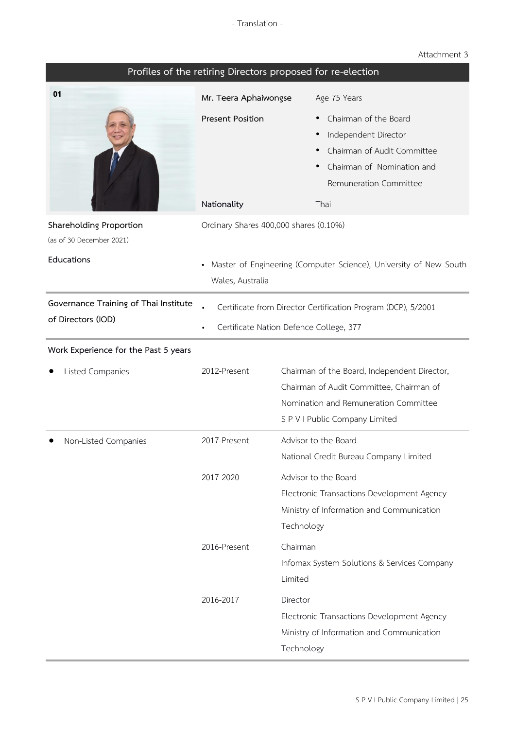#### - Translation -

# Attachment 3

| Profiles of the retiring Directors proposed for re-election |                                                                                                          |                                                                                                                                                                     |
|-------------------------------------------------------------|----------------------------------------------------------------------------------------------------------|---------------------------------------------------------------------------------------------------------------------------------------------------------------------|
| 01                                                          | Mr. Teera Aphaiwongse<br><b>Present Position</b><br>Nationality                                          | Age 75 Years<br>Chairman of the Board<br>Independent Director<br>Chairman of Audit Committee<br>Chairman of Nomination and<br>Remuneration Committee<br>Thai        |
| Shareholding Proportion<br>(as of 30 December 2021)         | Ordinary Shares 400,000 shares (0.10%)                                                                   |                                                                                                                                                                     |
| Educations                                                  | Wales, Australia                                                                                         | Master of Engineering (Computer Science), University of New South                                                                                                   |
| Governance Training of Thai Institute<br>of Directors (IOD) | Certificate from Director Certification Program (DCP), 5/2001<br>Certificate Nation Defence College, 377 |                                                                                                                                                                     |
| Work Experience for the Past 5 years                        |                                                                                                          |                                                                                                                                                                     |
| Listed Companies                                            | 2012-Present                                                                                             | Chairman of the Board, Independent Director,<br>Chairman of Audit Committee, Chairman of<br>Nomination and Remuneration Committee<br>S P V I Public Company Limited |
| Non-Listed Companies                                        | 2017-Present                                                                                             | Advisor to the Board<br>National Credit Bureau Company Limited                                                                                                      |
|                                                             | 2017-2020                                                                                                | Advisor to the Board<br>Electronic Transactions Development Agency<br>Ministry of Information and Communication<br>Technology                                       |
|                                                             | 2016-Present                                                                                             | Chairman<br>Infomax System Solutions & Services Company<br>Limited                                                                                                  |
|                                                             | 2016-2017                                                                                                | Director<br>Electronic Transactions Development Agency<br>Ministry of Information and Communication<br>Technology                                                   |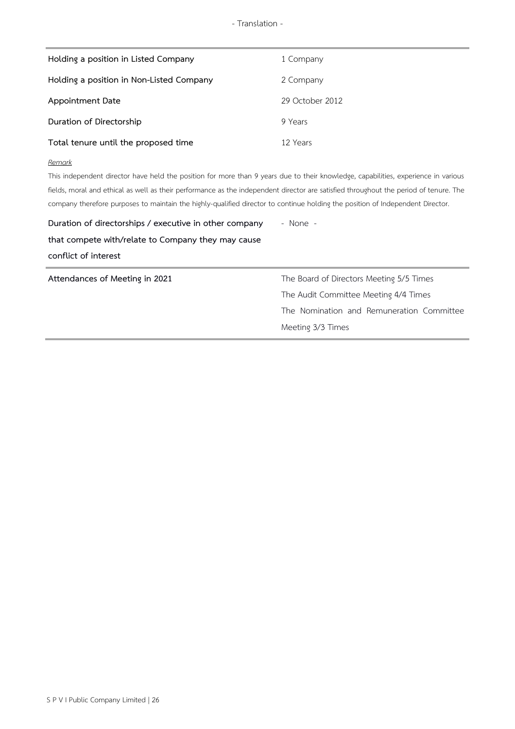| Holding a position in Listed Company     | 1 Company       |
|------------------------------------------|-----------------|
| Holding a position in Non-Listed Company | 2 Company       |
| Appointment Date                         | 29 October 2012 |
| Duration of Directorship                 | 9 Years         |
| Total tenure until the proposed time     | 12 Years        |

### *Remark*

This independent director have held the position for more than 9 years due to their knowledge, capabilities, experience in various fields, moral and ethical as well as their performance as the independent director are satisfied throughout the period of tenure. The company therefore purposes to maintain the highly-qualified director to continue holding the position of Independent Director.

| Duration of directorships / executive in other company | - None -                                  |
|--------------------------------------------------------|-------------------------------------------|
| that compete with/relate to Company they may cause     |                                           |
| conflict of interest                                   |                                           |
| Attendances of Meeting in 2021                         | The Board of Directors Meeting 5/5 Times  |
|                                                        | The Audit Committee Meeting 4/4 Times     |
|                                                        | The Nomination and Remuneration Committee |
|                                                        | Meeting 3/3 Times                         |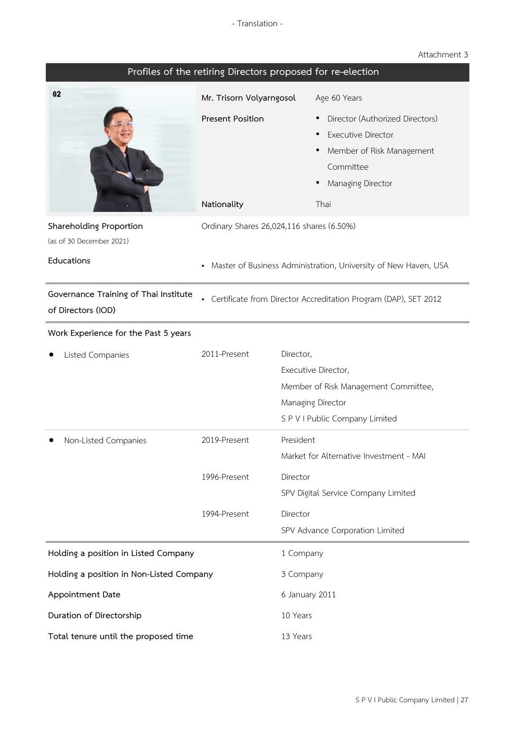# Attachment 3

|                                                             |                                                     | Profiles of the retiring Directors proposed for re-election                                                                                 |
|-------------------------------------------------------------|-----------------------------------------------------|---------------------------------------------------------------------------------------------------------------------------------------------|
| 02                                                          | Mr. Trisorn Volyarngosol<br><b>Present Position</b> | Age 60 Years<br>Director (Authorized Directors)<br><b>Executive Director</b><br>Member of Risk Management<br>Committee<br>Managing Director |
|                                                             | Nationality                                         | Thai                                                                                                                                        |
| Shareholding Proportion<br>(as of 30 December 2021)         | Ordinary Shares 26,024,116 shares (6.50%)           |                                                                                                                                             |
| Educations                                                  |                                                     | Master of Business Administration, University of New Haven, USA                                                                             |
| Governance Training of Thai Institute<br>of Directors (IOD) |                                                     | Certificate from Director Accreditation Program (DAP), SET 2012                                                                             |
| Work Experience for the Past 5 years                        |                                                     |                                                                                                                                             |
| Listed Companies                                            | 2011-Present                                        | Director,<br>Executive Director,<br>Member of Risk Management Committee,<br>Managing Director<br>S P V I Public Company Limited             |
| Non-Listed Companies                                        | 2019-Present                                        | President<br>Market for Alternative Investment - MAI                                                                                        |
|                                                             | 1996-Present                                        | Director<br>SPV Digital Service Company Limited                                                                                             |
|                                                             | 1994-Present                                        | Director<br>SPV Advance Corporation Limited                                                                                                 |
| Holding a position in Listed Company                        |                                                     | 1 Company                                                                                                                                   |
| Holding a position in Non-Listed Company                    |                                                     | 3 Company                                                                                                                                   |
| Appointment Date                                            |                                                     | 6 January 2011                                                                                                                              |
| Duration of Directorship                                    |                                                     | 10 Years                                                                                                                                    |
| Total tenure until the proposed time                        |                                                     | 13 Years                                                                                                                                    |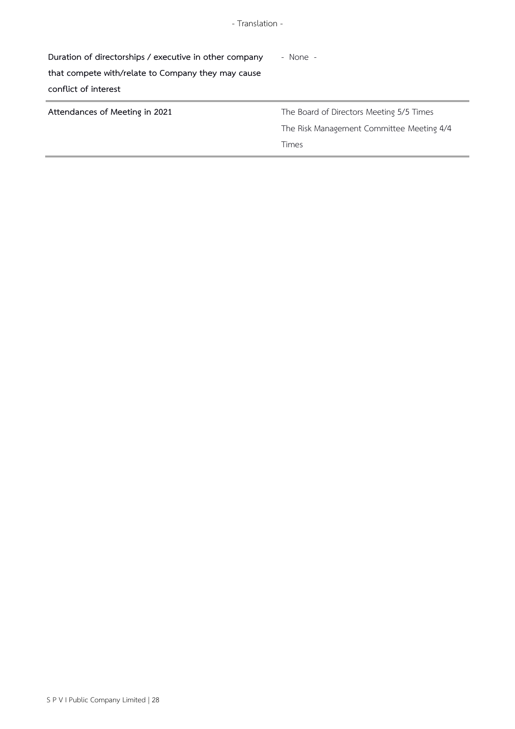| Translation - |  |
|---------------|--|
|---------------|--|

| Duration of directorships / executive in other company<br>that compete with/relate to Company they may cause<br>conflict of interest | - None -                                                                                              |
|--------------------------------------------------------------------------------------------------------------------------------------|-------------------------------------------------------------------------------------------------------|
| Attendances of Meeting in 2021                                                                                                       | The Board of Directors Meeting 5/5 Times<br>The Risk Management Committee Meeting 4/4<br><b>Times</b> |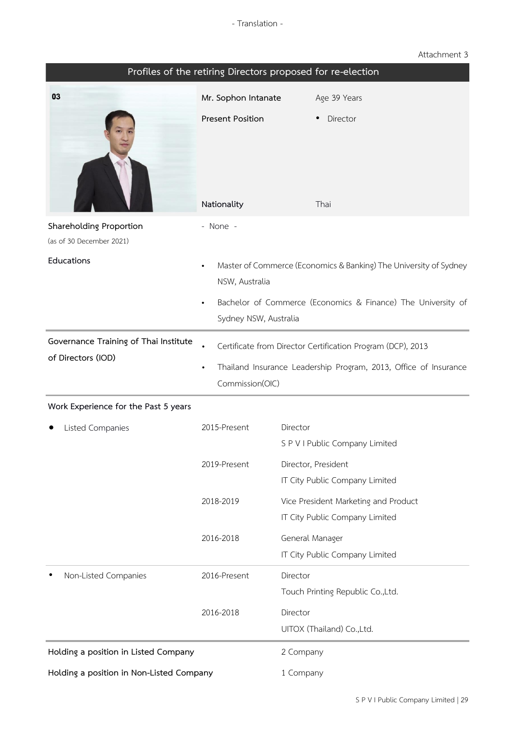### - Translation -

### Attachment 3

| Profiles of the retiring Directors proposed for re-election |                                        |                                                                        |
|-------------------------------------------------------------|----------------------------------------|------------------------------------------------------------------------|
| 03                                                          | Mr. Sophon Intanate                    | Age 39 Years                                                           |
|                                                             | <b>Present Position</b><br>Nationality | Director<br>Thai                                                       |
| Shareholding Proportion                                     | - None -                               |                                                                        |
| (as of 30 December 2021)                                    |                                        |                                                                        |
| Educations                                                  | NSW, Australia                         | Master of Commerce (Economics & Banking) The University of Sydney      |
|                                                             | Sydney NSW, Australia                  | Bachelor of Commerce (Economics & Finance) The University of           |
| Governance Training of Thai Institute<br>of Directors (IOD) |                                        | Certificate from Director Certification Program (DCP), 2013            |
|                                                             | $\bullet$<br>Commission(OIC)           | Thailand Insurance Leadership Program, 2013, Office of Insurance       |
| Work Experience for the Past 5 years                        |                                        |                                                                        |
| Listed Companies                                            | 2015-Present                           | Director<br>S P V I Public Company Limited                             |
|                                                             | 2019-Present                           | Director, President                                                    |
|                                                             |                                        | IT City Public Company Limited                                         |
|                                                             | 2018-2019                              | Vice President Marketing and Product<br>IT City Public Company Limited |
|                                                             | 2016-2018                              | General Manager<br>IT City Public Company Limited                      |
| Non-Listed Companies                                        | 2016-Present                           | Director<br>Touch Printing Republic Co., Ltd.                          |
|                                                             | 2016-2018                              | Director<br>UITOX (Thailand) Co., Ltd.                                 |
| Holding a position in Listed Company                        |                                        | 2 Company                                                              |
| Holding a position in Non-Listed Company                    |                                        | 1 Company                                                              |